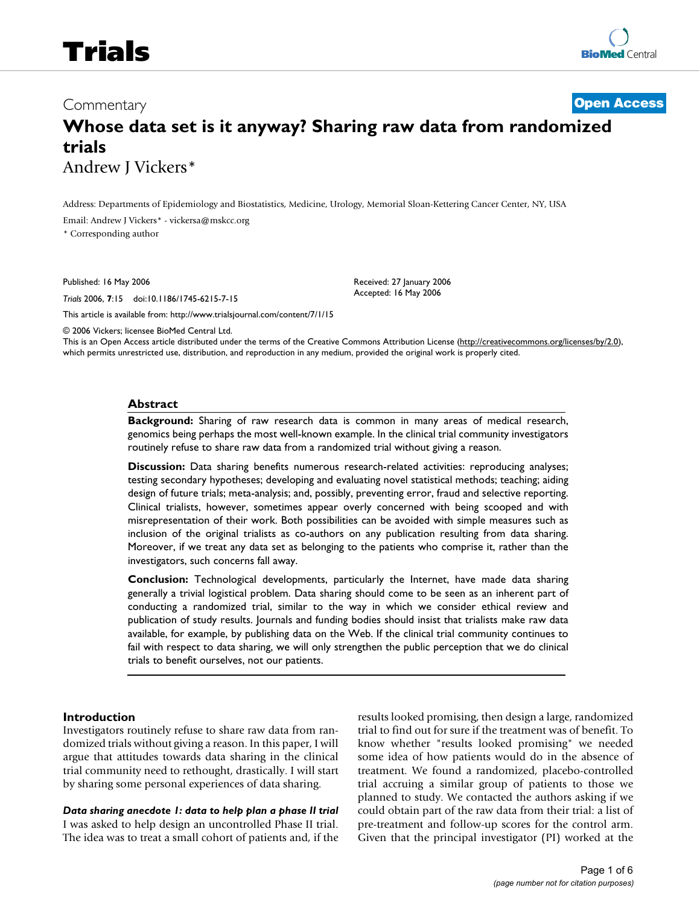Commentary **[Open Access](http://www.biomedcentral.com/info/about/charter/)**

# **Whose data set is it anyway? Sharing raw data from randomized trials** Andrew J Vickers\*

Address: Departments of Epidemiology and Biostatistics, Medicine, Urology, Memorial Sloan-Kettering Cancer Center, NY, USA

Email: Andrew J Vickers\* - vickersa@mskcc.org

\* Corresponding author

Published: 16 May 2006

*Trials* 2006, **7**:15 doi:10.1186/1745-6215-7-15

[This article is available from: http://www.trialsjournal.com/content/7/1/15](http://www.trialsjournal.com/content/7/1/15)

© 2006 Vickers; licensee BioMed Central Ltd.

This is an Open Access article distributed under the terms of the Creative Commons Attribution License [\(http://creativecommons.org/licenses/by/2.0\)](http://creativecommons.org/licenses/by/2.0), which permits unrestricted use, distribution, and reproduction in any medium, provided the original work is properly cited.

Received: 27 January 2006 Accepted: 16 May 2006

#### **Abstract**

**Background:** Sharing of raw research data is common in many areas of medical research, genomics being perhaps the most well-known example. In the clinical trial community investigators routinely refuse to share raw data from a randomized trial without giving a reason.

**Discussion:** Data sharing benefits numerous research-related activities: reproducing analyses; testing secondary hypotheses; developing and evaluating novel statistical methods; teaching; aiding design of future trials; meta-analysis; and, possibly, preventing error, fraud and selective reporting. Clinical trialists, however, sometimes appear overly concerned with being scooped and with misrepresentation of their work. Both possibilities can be avoided with simple measures such as inclusion of the original trialists as co-authors on any publication resulting from data sharing. Moreover, if we treat any data set as belonging to the patients who comprise it, rather than the investigators, such concerns fall away.

**Conclusion:** Technological developments, particularly the Internet, have made data sharing generally a trivial logistical problem. Data sharing should come to be seen as an inherent part of conducting a randomized trial, similar to the way in which we consider ethical review and publication of study results. Journals and funding bodies should insist that trialists make raw data available, for example, by publishing data on the Web. If the clinical trial community continues to fail with respect to data sharing, we will only strengthen the public perception that we do clinical trials to benefit ourselves, not our patients.

#### **Introduction**

Investigators routinely refuse to share raw data from randomized trials without giving a reason. In this paper, I will argue that attitudes towards data sharing in the clinical trial community need to rethought, drastically. I will start by sharing some personal experiences of data sharing.

*Data sharing anecdote 1: data to help plan a phase II trial* I was asked to help design an uncontrolled Phase II trial. The idea was to treat a small cohort of patients and, if the results looked promising, then design a large, randomized trial to find out for sure if the treatment was of benefit. To know whether "results looked promising" we needed some idea of how patients would do in the absence of treatment. We found a randomized, placebo-controlled trial accruing a similar group of patients to those we planned to study. We contacted the authors asking if we could obtain part of the raw data from their trial: a list of pre-treatment and follow-up scores for the control arm. Given that the principal investigator (PI) worked at the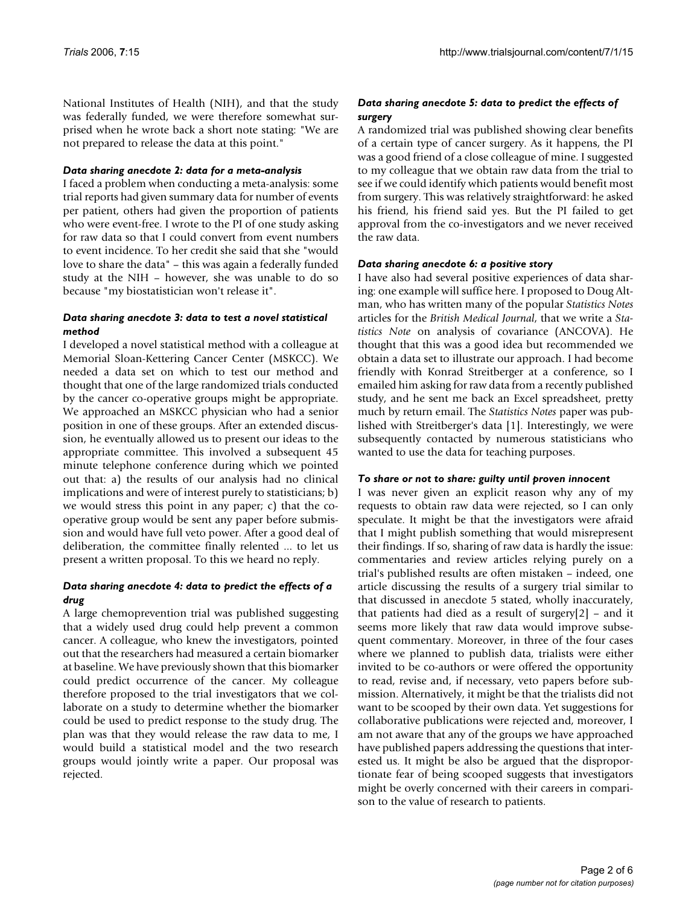National Institutes of Health (NIH), and that the study was federally funded, we were therefore somewhat surprised when he wrote back a short note stating: "We are not prepared to release the data at this point."

#### *Data sharing anecdote 2: data for a meta-analysis*

I faced a problem when conducting a meta-analysis: some trial reports had given summary data for number of events per patient, others had given the proportion of patients who were event-free. I wrote to the PI of one study asking for raw data so that I could convert from event numbers to event incidence. To her credit she said that she "would love to share the data" – this was again a federally funded study at the NIH – however, she was unable to do so because "my biostatistician won't release it".

#### *Data sharing anecdote 3: data to test a novel statistical method*

I developed a novel statistical method with a colleague at Memorial Sloan-Kettering Cancer Center (MSKCC). We needed a data set on which to test our method and thought that one of the large randomized trials conducted by the cancer co-operative groups might be appropriate. We approached an MSKCC physician who had a senior position in one of these groups. After an extended discussion, he eventually allowed us to present our ideas to the appropriate committee. This involved a subsequent 45 minute telephone conference during which we pointed out that: a) the results of our analysis had no clinical implications and were of interest purely to statisticians; b) we would stress this point in any paper; c) that the cooperative group would be sent any paper before submission and would have full veto power. After a good deal of deliberation, the committee finally relented ... to let us present a written proposal. To this we heard no reply.

### *Data sharing anecdote 4: data to predict the effects of a drug*

A large chemoprevention trial was published suggesting that a widely used drug could help prevent a common cancer. A colleague, who knew the investigators, pointed out that the researchers had measured a certain biomarker at baseline. We have previously shown that this biomarker could predict occurrence of the cancer. My colleague therefore proposed to the trial investigators that we collaborate on a study to determine whether the biomarker could be used to predict response to the study drug. The plan was that they would release the raw data to me, I would build a statistical model and the two research groups would jointly write a paper. Our proposal was rejected.

# *Data sharing anecdote 5: data to predict the effects of surgery*

A randomized trial was published showing clear benefits of a certain type of cancer surgery. As it happens, the PI was a good friend of a close colleague of mine. I suggested to my colleague that we obtain raw data from the trial to see if we could identify which patients would benefit most from surgery. This was relatively straightforward: he asked his friend, his friend said yes. But the PI failed to get approval from the co-investigators and we never received the raw data.

### *Data sharing anecdote 6: a positive story*

I have also had several positive experiences of data sharing: one example will suffice here. I proposed to Doug Altman, who has written many of the popular *Statistics Notes* articles for the *British Medical Journal*, that we write a *Statistics Note* on analysis of covariance (ANCOVA). He thought that this was a good idea but recommended we obtain a data set to illustrate our approach. I had become friendly with Konrad Streitberger at a conference, so I emailed him asking for raw data from a recently published study, and he sent me back an Excel spreadsheet, pretty much by return email. The *Statistics Notes* paper was published with Streitberger's data [1]. Interestingly, we were subsequently contacted by numerous statisticians who wanted to use the data for teaching purposes.

### *To share or not to share: guilty until proven innocent*

I was never given an explicit reason why any of my requests to obtain raw data were rejected, so I can only speculate. It might be that the investigators were afraid that I might publish something that would misrepresent their findings. If so, sharing of raw data is hardly the issue: commentaries and review articles relying purely on a trial's published results are often mistaken – indeed, one article discussing the results of a surgery trial similar to that discussed in anecdote 5 stated, wholly inaccurately, that patients had died as a result of surgery[2] – and it seems more likely that raw data would improve subsequent commentary. Moreover, in three of the four cases where we planned to publish data, trialists were either invited to be co-authors or were offered the opportunity to read, revise and, if necessary, veto papers before submission. Alternatively, it might be that the trialists did not want to be scooped by their own data. Yet suggestions for collaborative publications were rejected and, moreover, I am not aware that any of the groups we have approached have published papers addressing the questions that interested us. It might be also be argued that the disproportionate fear of being scooped suggests that investigators might be overly concerned with their careers in comparison to the value of research to patients.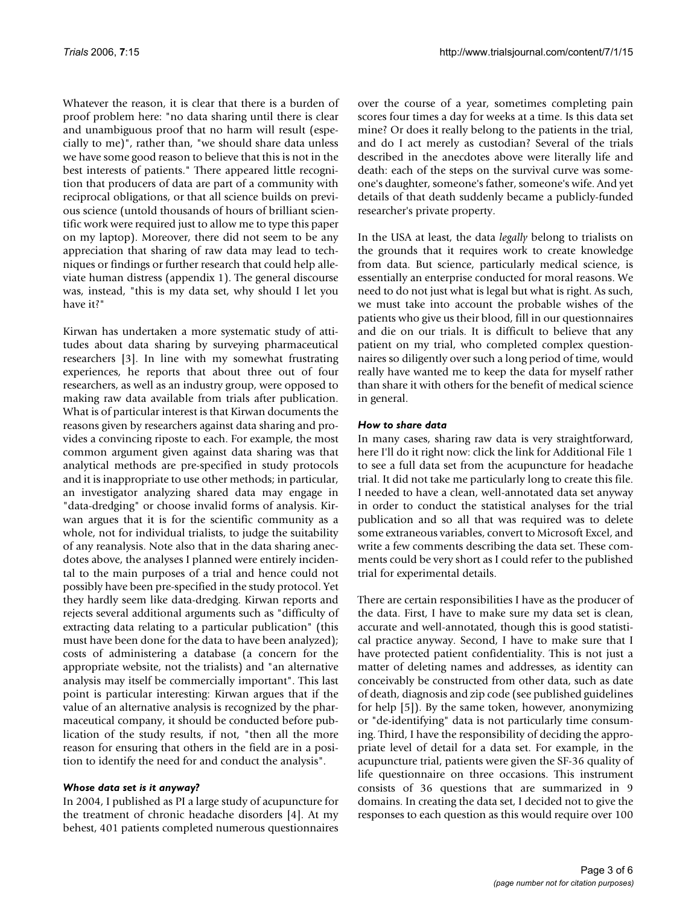Whatever the reason, it is clear that there is a burden of proof problem here: "no data sharing until there is clear and unambiguous proof that no harm will result (especially to me)", rather than, "we should share data unless we have some good reason to believe that this is not in the best interests of patients." There appeared little recognition that producers of data are part of a community with reciprocal obligations, or that all science builds on previous science (untold thousands of hours of brilliant scientific work were required just to allow me to type this paper on my laptop). Moreover, there did not seem to be any appreciation that sharing of raw data may lead to techniques or findings or further research that could help alleviate human distress (appendix 1). The general discourse was, instead, "this is my data set, why should I let you have it?"

Kirwan has undertaken a more systematic study of attitudes about data sharing by surveying pharmaceutical researchers [3]. In line with my somewhat frustrating experiences, he reports that about three out of four researchers, as well as an industry group, were opposed to making raw data available from trials after publication. What is of particular interest is that Kirwan documents the reasons given by researchers against data sharing and provides a convincing riposte to each. For example, the most common argument given against data sharing was that analytical methods are pre-specified in study protocols and it is inappropriate to use other methods; in particular, an investigator analyzing shared data may engage in "data-dredging" or choose invalid forms of analysis. Kirwan argues that it is for the scientific community as a whole, not for individual trialists, to judge the suitability of any reanalysis. Note also that in the data sharing anecdotes above, the analyses I planned were entirely incidental to the main purposes of a trial and hence could not possibly have been pre-specified in the study protocol. Yet they hardly seem like data-dredging. Kirwan reports and rejects several additional arguments such as "difficulty of extracting data relating to a particular publication" (this must have been done for the data to have been analyzed); costs of administering a database (a concern for the appropriate website, not the trialists) and "an alternative analysis may itself be commercially important". This last point is particular interesting: Kirwan argues that if the value of an alternative analysis is recognized by the pharmaceutical company, it should be conducted before publication of the study results, if not, "then all the more reason for ensuring that others in the field are in a position to identify the need for and conduct the analysis".

### *Whose data set is it anyway?*

In 2004, I published as PI a large study of acupuncture for the treatment of chronic headache disorders [4]. At my behest, 401 patients completed numerous questionnaires

over the course of a year, sometimes completing pain scores four times a day for weeks at a time. Is this data set mine? Or does it really belong to the patients in the trial, and do I act merely as custodian? Several of the trials described in the anecdotes above were literally life and death: each of the steps on the survival curve was someone's daughter, someone's father, someone's wife. And yet details of that death suddenly became a publicly-funded researcher's private property.

In the USA at least, the data *legally* belong to trialists on the grounds that it requires work to create knowledge from data. But science, particularly medical science, is essentially an enterprise conducted for moral reasons. We need to do not just what is legal but what is right. As such, we must take into account the probable wishes of the patients who give us their blood, fill in our questionnaires and die on our trials. It is difficult to believe that any patient on my trial, who completed complex questionnaires so diligently over such a long period of time, would really have wanted me to keep the data for myself rather than share it with others for the benefit of medical science in general.

#### *How to share data*

In many cases, sharing raw data is very straightforward, here I'll do it right now: click the link for Additional File 1 to see a full data set from the acupuncture for headache trial. It did not take me particularly long to create this file. I needed to have a clean, well-annotated data set anyway in order to conduct the statistical analyses for the trial publication and so all that was required was to delete some extraneous variables, convert to Microsoft Excel, and write a few comments describing the data set. These comments could be very short as I could refer to the published trial for experimental details.

There are certain responsibilities I have as the producer of the data. First, I have to make sure my data set is clean, accurate and well-annotated, though this is good statistical practice anyway. Second, I have to make sure that I have protected patient confidentiality. This is not just a matter of deleting names and addresses, as identity can conceivably be constructed from other data, such as date of death, diagnosis and zip code (see published guidelines for help [5]). By the same token, however, anonymizing or "de-identifying" data is not particularly time consuming. Third, I have the responsibility of deciding the appropriate level of detail for a data set. For example, in the acupuncture trial, patients were given the SF-36 quality of life questionnaire on three occasions. This instrument consists of 36 questions that are summarized in 9 domains. In creating the data set, I decided not to give the responses to each question as this would require over 100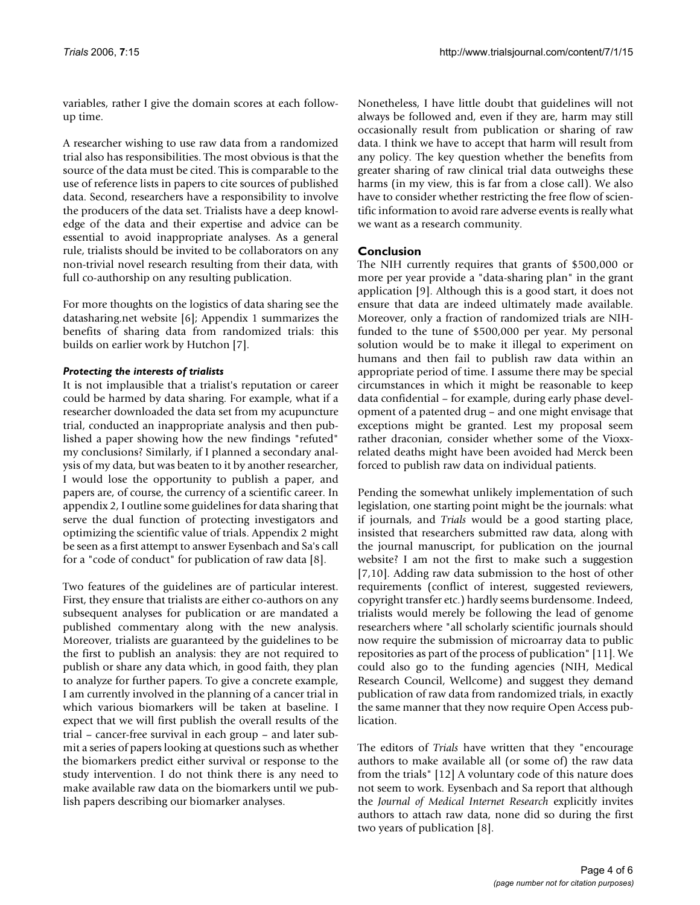variables, rather I give the domain scores at each followup time.

A researcher wishing to use raw data from a randomized trial also has responsibilities. The most obvious is that the source of the data must be cited. This is comparable to the use of reference lists in papers to cite sources of published data. Second, researchers have a responsibility to involve the producers of the data set. Trialists have a deep knowledge of the data and their expertise and advice can be essential to avoid inappropriate analyses. As a general rule, trialists should be invited to be collaborators on any non-trivial novel research resulting from their data, with full co-authorship on any resulting publication.

For more thoughts on the logistics of data sharing see the datasharing.net website [6]; Appendix 1 summarizes the benefits of sharing data from randomized trials: this builds on earlier work by Hutchon [7].

#### *Protecting the interests of trialists*

It is not implausible that a trialist's reputation or career could be harmed by data sharing. For example, what if a researcher downloaded the data set from my acupuncture trial, conducted an inappropriate analysis and then published a paper showing how the new findings "refuted" my conclusions? Similarly, if I planned a secondary analysis of my data, but was beaten to it by another researcher, I would lose the opportunity to publish a paper, and papers are, of course, the currency of a scientific career. In appendix 2, I outline some guidelines for data sharing that serve the dual function of protecting investigators and optimizing the scientific value of trials. Appendix 2 might be seen as a first attempt to answer Eysenbach and Sa's call for a "code of conduct" for publication of raw data [8].

Two features of the guidelines are of particular interest. First, they ensure that trialists are either co-authors on any subsequent analyses for publication or are mandated a published commentary along with the new analysis. Moreover, trialists are guaranteed by the guidelines to be the first to publish an analysis: they are not required to publish or share any data which, in good faith, they plan to analyze for further papers. To give a concrete example, I am currently involved in the planning of a cancer trial in which various biomarkers will be taken at baseline. I expect that we will first publish the overall results of the trial – cancer-free survival in each group – and later submit a series of papers looking at questions such as whether the biomarkers predict either survival or response to the study intervention. I do not think there is any need to make available raw data on the biomarkers until we publish papers describing our biomarker analyses.

Nonetheless, I have little doubt that guidelines will not always be followed and, even if they are, harm may still occasionally result from publication or sharing of raw data. I think we have to accept that harm will result from any policy. The key question whether the benefits from greater sharing of raw clinical trial data outweighs these harms (in my view, this is far from a close call). We also have to consider whether restricting the free flow of scientific information to avoid rare adverse events is really what we want as a research community.

# **Conclusion**

The NIH currently requires that grants of \$500,000 or more per year provide a "data-sharing plan" in the grant application [9]. Although this is a good start, it does not ensure that data are indeed ultimately made available. Moreover, only a fraction of randomized trials are NIHfunded to the tune of \$500,000 per year. My personal solution would be to make it illegal to experiment on humans and then fail to publish raw data within an appropriate period of time. I assume there may be special circumstances in which it might be reasonable to keep data confidential – for example, during early phase development of a patented drug – and one might envisage that exceptions might be granted. Lest my proposal seem rather draconian, consider whether some of the Vioxxrelated deaths might have been avoided had Merck been forced to publish raw data on individual patients.

Pending the somewhat unlikely implementation of such legislation, one starting point might be the journals: what if journals, and *Trials* would be a good starting place, insisted that researchers submitted raw data, along with the journal manuscript, for publication on the journal website? I am not the first to make such a suggestion [7,10]. Adding raw data submission to the host of other requirements (conflict of interest, suggested reviewers, copyright transfer etc.) hardly seems burdensome. Indeed, trialists would merely be following the lead of genome researchers where "all scholarly scientific journals should now require the submission of microarray data to public repositories as part of the process of publication" [11]. We could also go to the funding agencies (NIH, Medical Research Council, Wellcome) and suggest they demand publication of raw data from randomized trials, in exactly the same manner that they now require Open Access publication.

The editors of *Trials* have written that they "encourage authors to make available all (or some of) the raw data from the trials" [12] A voluntary code of this nature does not seem to work. Eysenbach and Sa report that although the *Journal of Medical Internet Research* explicitly invites authors to attach raw data, none did so during the first two years of publication [8].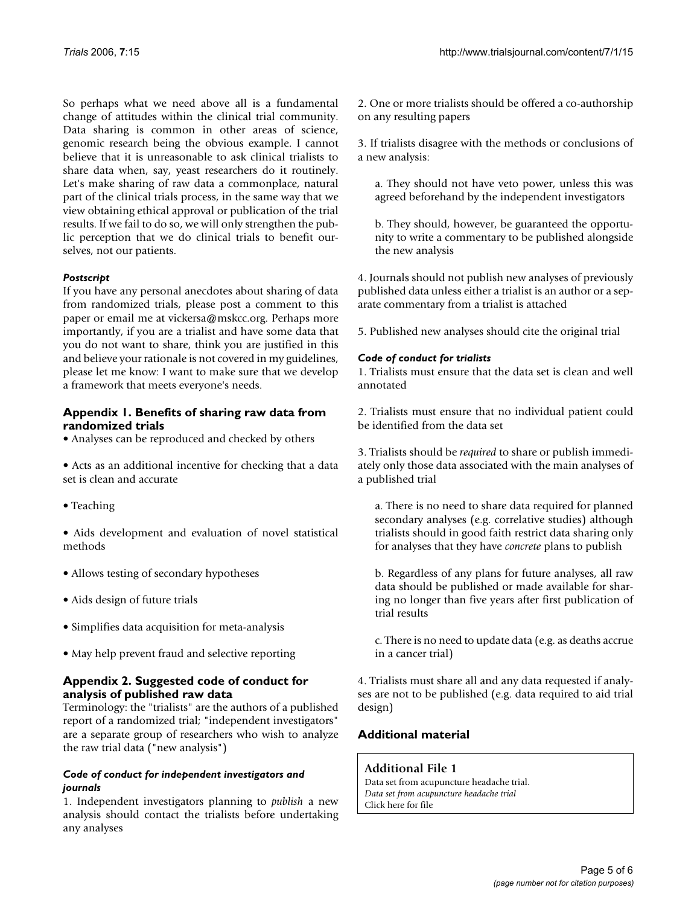So perhaps what we need above all is a fundamental change of attitudes within the clinical trial community. Data sharing is common in other areas of science, genomic research being the obvious example. I cannot believe that it is unreasonable to ask clinical trialists to share data when, say, yeast researchers do it routinely. Let's make sharing of raw data a commonplace, natural part of the clinical trials process, in the same way that we view obtaining ethical approval or publication of the trial results. If we fail to do so, we will only strengthen the public perception that we do clinical trials to benefit ourselves, not our patients.

### *Postscript*

If you have any personal anecdotes about sharing of data from randomized trials, please post a comment to this paper or email me at vickersa@mskcc.org. Perhaps more importantly, if you are a trialist and have some data that you do not want to share, think you are justified in this and believe your rationale is not covered in my guidelines, please let me know: I want to make sure that we develop a framework that meets everyone's needs.

# **Appendix 1. Benefits of sharing raw data from randomized trials**

• Analyses can be reproduced and checked by others

• Acts as an additional incentive for checking that a data set is clean and accurate

• Teaching

• Aids development and evaluation of novel statistical methods

- Allows testing of secondary hypotheses
- Aids design of future trials
- Simplifies data acquisition for meta-analysis
- May help prevent fraud and selective reporting

# **Appendix 2. Suggested code of conduct for analysis of published raw data**

Terminology: the "trialists" are the authors of a published report of a randomized trial; "independent investigators" are a separate group of researchers who wish to analyze the raw trial data ("new analysis")

#### *Code of conduct for independent investigators and journals*

1. Independent investigators planning to *publish* a new analysis should contact the trialists before undertaking any analyses

2. One or more trialists should be offered a co-authorship on any resulting papers

3. If trialists disagree with the methods or conclusions of a new analysis:

a. They should not have veto power, unless this was agreed beforehand by the independent investigators

b. They should, however, be guaranteed the opportunity to write a commentary to be published alongside the new analysis

4. Journals should not publish new analyses of previously published data unless either a trialist is an author or a separate commentary from a trialist is attached

5. Published new analyses should cite the original trial

### *Code of conduct for trialists*

1. Trialists must ensure that the data set is clean and well annotated

2. Trialists must ensure that no individual patient could be identified from the data set

3. Trialists should be *required* to share or publish immediately only those data associated with the main analyses of a published trial

a. There is no need to share data required for planned secondary analyses (e.g. correlative studies) although trialists should in good faith restrict data sharing only for analyses that they have *concrete* plans to publish

b. Regardless of any plans for future analyses, all raw data should be published or made available for sharing no longer than five years after first publication of trial results

c. There is no need to update data (e.g. as deaths accrue in a cancer trial)

4. Trialists must share all and any data requested if analyses are not to be published (e.g. data required to aid trial design)

# **Additional material**

# **Additional File 1**

Data set from acupuncture headache trial. *Data set from acupuncture headache trial* Click here for file